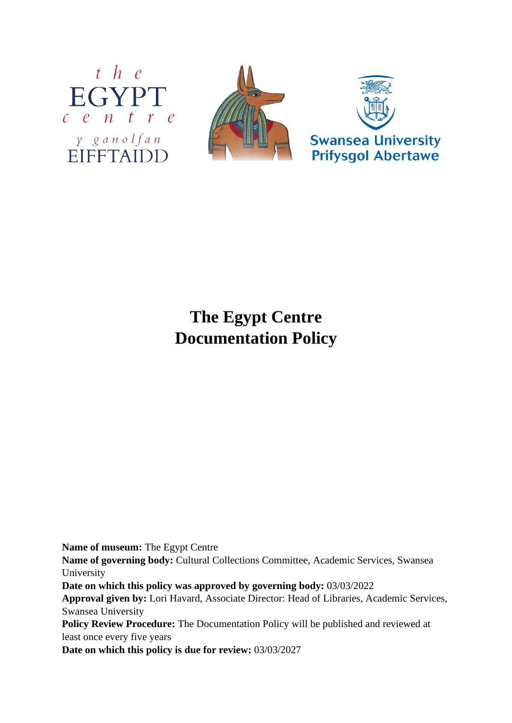



## **The Egypt Centre Documentation Policy**

**Name of museum:** The Egypt Centre

**Name of governing body:** Cultural Collections Committee, Academic Services, Swansea University

**Date on which this policy was approved by governing body:** 03/03/2022

**Approval given by:** Lori Havard, Associate Director: Head of Libraries, Academic Services, Swansea University

**Policy Review Procedure:** The Documentation Policy will be published and reviewed at least once every five years

**Date on which this policy is due for review:** 03/03/2027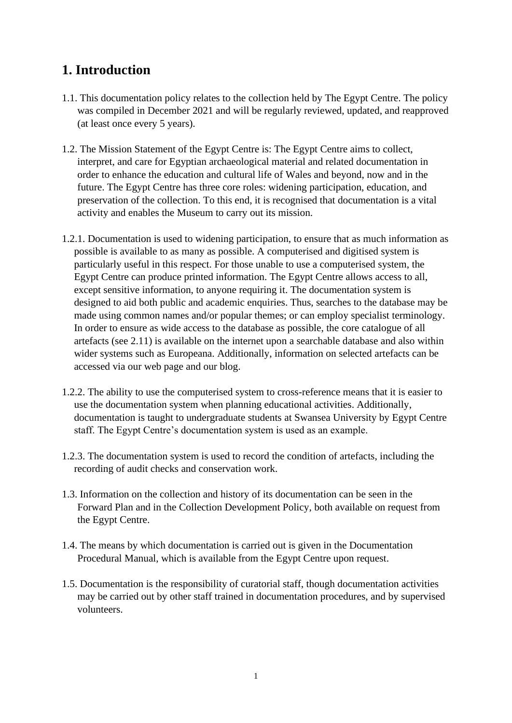## **1. Introduction**

- 1.1. This documentation policy relates to the collection held by The Egypt Centre. The policy was compiled in December 2021 and will be regularly reviewed, updated, and reapproved (at least once every 5 years).
- 1.2. The Mission Statement of the Egypt Centre is: The Egypt Centre aims to collect, interpret, and care for Egyptian archaeological material and related documentation in order to enhance the education and cultural life of Wales and beyond, now and in the future. The Egypt Centre has three core roles: widening participation, education, and preservation of the collection. To this end, it is recognised that documentation is a vital activity and enables the Museum to carry out its mission.
- 1.2.1. Documentation is used to widening participation, to ensure that as much information as possible is available to as many as possible. A computerised and digitised system is particularly useful in this respect. For those unable to use a computerised system, the Egypt Centre can produce printed information. The Egypt Centre allows access to all, except sensitive information, to anyone requiring it. The documentation system is designed to aid both public and academic enquiries. Thus, searches to the database may be made using common names and/or popular themes; or can employ specialist terminology. In order to ensure as wide access to the database as possible, the core catalogue of all artefacts (see 2.11) is available on the internet upon a searchable database and also within wider systems such as Europeana. Additionally, information on selected artefacts can be accessed via our web page and our blog.
- 1.2.2. The ability to use the computerised system to cross-reference means that it is easier to use the documentation system when planning educational activities. Additionally, documentation is taught to undergraduate students at Swansea University by Egypt Centre staff. The Egypt Centre's documentation system is used as an example.
- 1.2.3. The documentation system is used to record the condition of artefacts, including the recording of audit checks and conservation work.
- 1.3. Information on the collection and history of its documentation can be seen in the Forward Plan and in the Collection Development Policy, both available on request from the Egypt Centre.
- 1.4. The means by which documentation is carried out is given in the Documentation Procedural Manual, which is available from the Egypt Centre upon request.
- 1.5. Documentation is the responsibility of curatorial staff, though documentation activities may be carried out by other staff trained in documentation procedures, and by supervised volunteers.